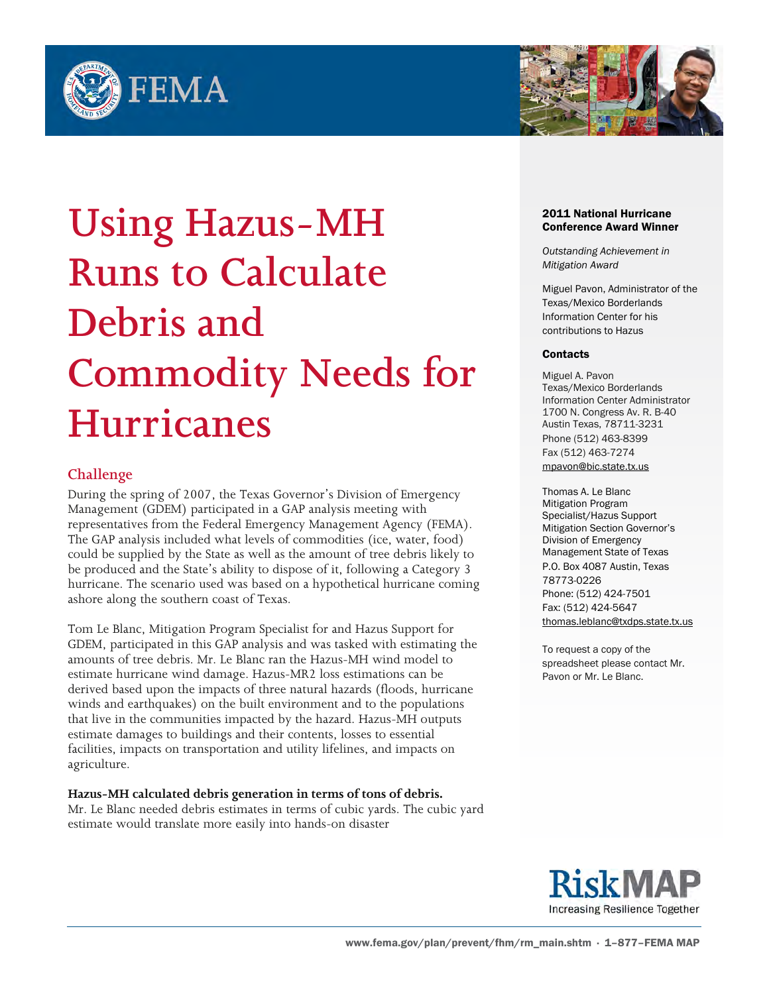



# **Using Hazus-MH Runs to Calculate Debris and Commodity Needs for Hurricanes**

# **Challenge**

During the spring of 2007, the Texas Governor's Division of Emergency Management (GDEM) participated in a GAP analysis meeting with representatives from the Federal Emergency Management Agency (FEMA). The GAP analysis included what levels of commodities (ice, water, food) could be supplied by the State as well as the amount of tree debris likely to be produced and the State's ability to dispose of it, following a Category 3 hurricane. The scenario used was based on a hypothetical hurricane coming ashore along the southern coast of Texas.

Tom Le Blanc, Mitigation Program Specialist for and Hazus Support for GDEM, participated in this GAP analysis and was tasked with estimating the amounts of tree debris. Mr. Le Blanc ran the Hazus-MH wind model to estimate hurricane wind damage. Hazus-MR2 loss estimations can be derived based upon the impacts of three natural hazards (floods, hurricane winds and earthquakes) on the built environment and to the populations that live in the communities impacted by the hazard. Hazus-MH outputs estimate damages to buildings and their contents, losses to essential facilities, impacts on transportation and utility lifelines, and impacts on agriculture.

### **Hazus-MH calculated debris generation in terms of tons of debris.**

Mr. Le Blanc needed debris estimates in terms of cubic yards. The cubic yard estimate would translate more easily into hands-on disaster

#### 2011 National Hurricane Conference Award Winner

*Outstanding Achievement in Mitigation Award*

Miguel Pavon, Administrator of the Texas/Mexico Borderlands Information Center for his contributions to Hazus

#### **Contacts**

Miguel A. Pavon Texas/Mexico Borderlands Information Center Administrator 1700 N. Congress Av. R. B-40 Austin Texas, 78711-3231 Phone (512) 463-8399 Fax (512) 463-7274 [mpavon@bic.state.tx.us](mailto:mpavon@bic.state.tx.us)

Thomas A. Le Blanc Mitigation Program Specialist/Hazus Support Mitigation Section Governor's Division of Emergency Management State of Texas P.O. Box 4087 Austin, Texas 78773-0226 Phone: (512) 424-7501 Fax: (512) 424-5647 [thomas.leblanc@txdps.state.tx.us](mailto:thomas.leblanc@txdps.state.tx.us)

To request a copy of the spreadsheet please contact Mr. Pavon or Mr. Le Blanc.

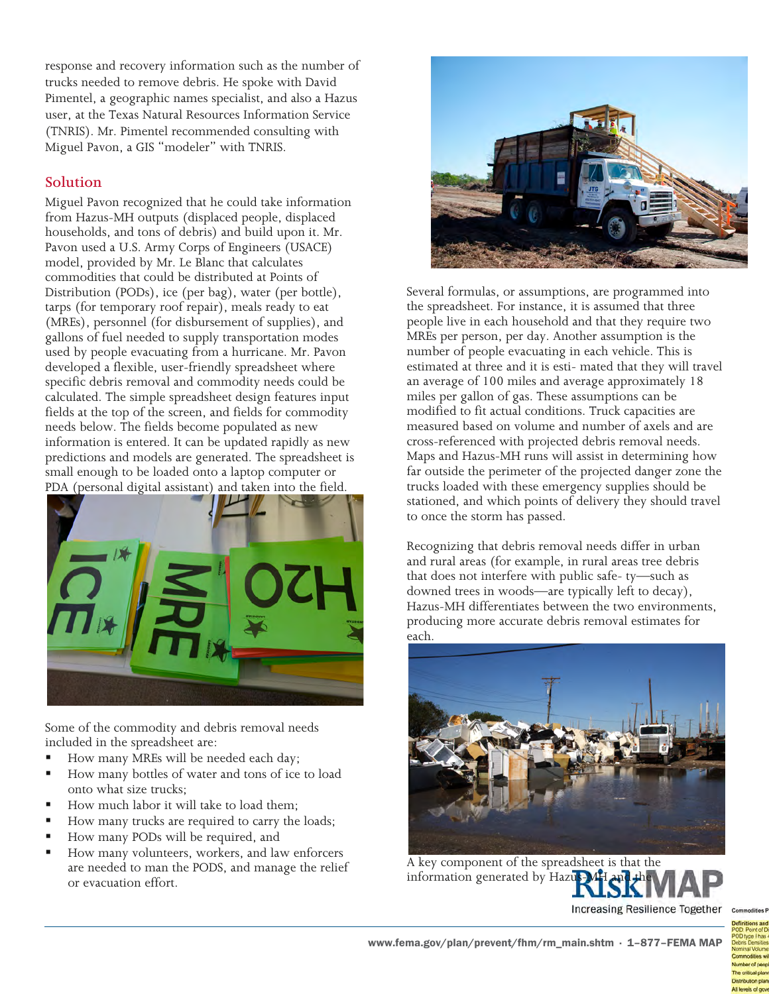response and recovery information such as the number of trucks needed to remove debris. He spoke with David Pimentel, a geographic names specialist, and also a Hazus user, at the Texas Natural Resources Information Service (TNRIS). Mr. Pimentel recommended consulting with Miguel Pavon, a GIS "modeler" with TNRIS.

## **Solution**

Miguel Pavon recognized that he could take information from Hazus-MH outputs (displaced people, displaced households, and tons of debris) and build upon it. Mr. Pavon used a U.S. Army Corps of Engineers (USACE) model, provided by Mr. Le Blanc that calculates commodities that could be distributed at Points of Distribution (PODs), ice (per bag), water (per bottle), tarps (for temporary roof repair), meals ready to eat (MREs), personnel (for disbursement of supplies), and gallons of fuel needed to supply transportation modes used by people evacuating from a hurricane. Mr. Pavon developed a flexible, user-friendly spreadsheet where specific debris removal and commodity needs could be calculated. The simple spreadsheet design features input fields at the top of the screen, and fields for commodity needs below. The fields become populated as new information is entered. It can be updated rapidly as new predictions and models are generated. The spreadsheet is small enough to be loaded onto a laptop computer or PDA (personal digital assistant) and taken into the field.



Some of the commodity and debris removal needs included in the spreadsheet are:

- How many MREs will be needed each day;
- How many bottles of water and tons of ice to load onto what size trucks;
- How much labor it will take to load them;
- How many trucks are required to carry the loads;
- How many PODs will be required, and
- How many volunteers, workers, and law enforcers are needed to man the PODS, and manage the relief or evacuation effort.



Several formulas, or assumptions, are programmed into the spreadsheet. For instance, it is assumed that three people live in each household and that they require two MREs per person, per day. Another assumption is the number of people evacuating in each vehicle. This is estimated at three and it is esti- mated that they will travel an average of 100 miles and average approximately 18 miles per gallon of gas. These assumptions can be modified to fit actual conditions. Truck capacities are measured based on volume and number of axels and are cross-referenced with projected debris removal needs. Maps and Hazus-MH runs will assist in determining how far outside the perimeter of the projected danger zone the trucks loaded with these emergency supplies should be stationed, and which points of delivery they should travel to once the storm has passed.

Recognizing that debris removal needs differ in urban and rural areas (for example, in rural areas tree debris that does not interfere with public safe- ty—such as downed trees in woods—are typically left to decay), Hazus-MH differentiates between the two environments, producing more accurate debris removal estimates for each.



A key component of the spreadsheet is that the information generated by Hazus-

Increasing Resilience Together

www.fema.gov/plan/prevent/fhm/rm\_main.shtm · 1–877–FEMA MAP